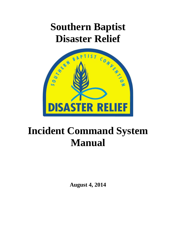# **Southern Baptist Disaster Relief**



# **Incident Command System Manual**

**August 4, 2014**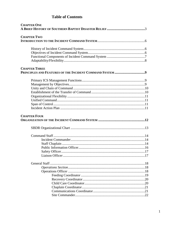# **Table of Contents**

| <b>CHAPTER ONE</b>   |  |
|----------------------|--|
| <b>CHAPTER TWO</b>   |  |
|                      |  |
|                      |  |
|                      |  |
| <b>CHAPTER THREE</b> |  |
|                      |  |
|                      |  |
|                      |  |
|                      |  |
|                      |  |
|                      |  |
|                      |  |
| <b>CHAPTER FOUR</b>  |  |
|                      |  |
|                      |  |
|                      |  |
|                      |  |
|                      |  |
|                      |  |
|                      |  |
|                      |  |
|                      |  |
|                      |  |
|                      |  |
|                      |  |
|                      |  |
|                      |  |
|                      |  |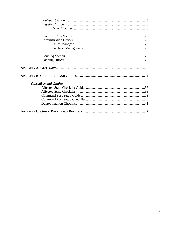| <b>Checklists and Guides</b> |  |
|------------------------------|--|
|                              |  |
|                              |  |
|                              |  |
|                              |  |
|                              |  |
|                              |  |
|                              |  |
|                              |  |
|                              |  |
|                              |  |
|                              |  |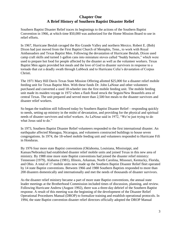# **Chapter One A Brief History of Southern Baptist Disaster Relief**

Southern Baptist Disaster Relief traces its beginnings to the actions of the Southern Baptist Convention in 1966, at which time \$50,000 was authorized for the Home Mission Board to use in relief efforts.

In 1967, Hurricane Beulah ravaged the Rio Grande Valley and northern Mexico. Robert E. (Bob) Dixon had just moved from the First Baptist Church of Memphis, Tenn., to work with Royal Ambassadors and Texas Baptist Men. Following the devastation of Hurricane Beulah, Dixon used camp craft skills and turned 1-gallon cans into miniature stoves called "buddy burners," which were used to prepare hot food for people affected by the disaster as well as the volunteer workers. Texas Baptist Men again provided hot meals and the love of God to disaster survivors in response to a tornado that cut a deadly swath through Lubbock and to Hurricane Celia's devastation of Corpus Christi.

The 1971 Mary Hill Davis Texas State Mission Offering allotted \$25,000 for a disaster relief mobile feeding unit for Texas Baptist Men. With these funds Dr. John LaNoue and other volunteers purchased and converted a used 18-wheeler into the first mobile feeding unit. The mobile feeding unit made its maiden voyage in 1972 when a flash flood struck the Seguin/New Braunfels area of central Texas. The unit prepared and served more than 2,500 hot meals to the disaster survivors and disaster relief workers.

So began the tradition still followed today by Southern Baptist Disaster Relief—responding quickly to needs, setting up ministry in the midst of devastation, and providing for the physical and spiritual needs of disaster survivors and relief workers. As LaNoue said in 1972, "We're just trying to do what Jesus said to do."

In 1973, Southern Baptist Disaster Relief volunteers responded to the first international disaster. An earthquake affected Managua, Nicaragua, and volunteers constructed buildings to house seven congregations. In 1974, the 18-wheel mobile feeding unit and volunteers responded to Hurricane Fifi in Honduras.

By 1976 four more state Baptist conventions (Oklahoma, Louisiana, Mississippi, and Kansas/Nebraska) had established disaster relief mobile units and joined Texas in this new area of ministry. By 1988 nine more state Baptist conventions had joined the disaster relief ministry: Tennessee (1979), Alabama (1981), Illinois, Arkansas, North Carolina, Missouri, Kentucky, Florida, and Ohio. A total of 17 mobile units now made up the Southern Baptist Disaster Relief fleet operated by 14 state Baptist conventions. Between 1966 and 1988 Southern Baptists responded to more than 200 disasters domestically and internationally and met the needs of thousands of disaster survivors.

As the disaster relief ministry became a part of more state Baptist conventions, the annual state leader meetings at the Brotherhood Commission included times of discussion, planning, and review. Following Hurricane Andrew (August 1992), there was a three-day debrief of the Southern Baptist response. A result of this meeting was the beginning of the development of the Disaster Relief Operational Procedures Manual (DROP) to formalize training and establish operational protocols. In 1994, the state Baptist convention disaster relief directors officially adopted the DROP Manual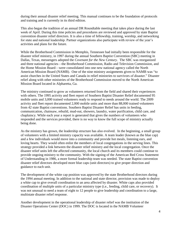during their annual disaster relief meeting. This manual continues to be the foundation of protocols and training and is currently in its third edition.

This also began the tradition of an annual DR Roundtable meeting that takes place during the last week of April. During this time policies and procedures are reviewed and approved by state Baptist convention disaster relief directors. It is also a time of fellowship, training, worship, and networking for state and national leadership. Partner organizations also participate with review of the year's activities and plans for the future.

While the Brotherhood Commission in Memphis, Tennessee had initially been responsible for the disaster relief ministry, in 1997 during the annual Southern Baptist Convention (SBC) meeting in Dallas, Texas, messengers adopted the *Covenant for the New Century*. The SBC was reorganized and three national agencies—the Brotherhood Commission, Radio and Television Commission, and the Home Mission Board—were consolidated into one new national agency called the North American Mission Board (NAMB). One of the nine ministry assignments given to NAMB was "to assist churches in the United States and Canada in relief ministries to survivors of disaster." Disaster relief along with other ministries of the Brotherhood Commission moved to the North American Mission Board located in Alpharetta, Ga.

The ministry continued to grow as volunteers returned from the field and shared their experiences with others. The 1995 activity and fleet report of Southern Baptist Disaster Relief documented 95 mobile units and 3,000 trained volunteers ready to respond to needs around the world. The 2009 activity and fleet report documented 2,000 mobile units and more than 88,000 trained volunteers from 42 state Baptist conventions. Southern Baptist Disaster Relief has units in feeding, communication, chainsaw, rebuild, mud-out, showers, laundry, water purification, child care, and chaplaincy. While each year a report is generated that gives the numbers of volunteers who responded and the services provided, there is no way to know the full scope of ministry actually being done.

As the ministry has grown, the leadership structure has also evolved. In the beginning, a small group of volunteers with a limited ministry capacity was available. A team leader (known as the blue cap) and a few individuals would move into a community and provide hot meals, listening ears, and loving hearts. They would often enlist the members of local congregations in the serving lines. This strategy provided a link between the disaster relief ministry and the local congregation. Once the disaster relief units left the affected community, the local church and its members could continue to provide ongoing ministry to the community. With the signing of the American Red Cross Statement of Understanding in 1986, a more formal leadership team was needed. The state Baptist convention disaster relief directors developed more blue caps (unit directors) to give proper direction and guidance to each unit.

The development of the white cap position was approved by the state Brotherhood directors during the 1994 annual meeting. In addition to the national and state director, provision was made to deploy a white cap to give overall coordination to an area affected by disaster. White caps also provided coordination of multiple units of a particular ministry type (i.e., feeding, child care, or recovery). It was not unusual to need a team of eight to 12 people to give leadership and coordination to a large, multistate disaster relief response.

Another development in the operational leadership of disaster relief was the institution of the Disaster Operations Center (DOC) in 1999. The DOC is located in the NAMB Volunteer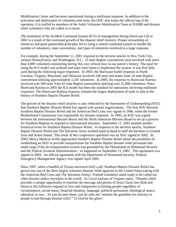Mobilization Center and becomes operational during a multistate response. In addition to the activation and deployment of volunteers and units, the DOC also keeps the official log of the operation. It is staffed by members of the Adult Volunteer Mobilization Team at NAMB and disaster relief volunteers who are called in to assist.

The institution of the Incident Command System (ICS) of management during Hurricane Lili in 2002 is a result of the continued growth of the disaster relief ministry. Proper stewardship of resources and good partnership principles led to using a central command system to handle the number of volunteers, state conventions, and types of ministries involved in a large response.

For example, during the September 11, 2001 response to the terrorist attacks in New York City, western Pennsylvania, and Washington, D.C., 32 state Baptist conventions were involved with more than 4,000 volunteers ministering during this very critical time in our nation's history. The need for using the ICS model was realized and steps were taken to implement the system. It was first fully used during the following major responses. In 2003, the Hurricane Isabel response in North Carolina, Virginia, Maryland, and Delaware involved 168 units and teams from 24 state Baptist conventions utilizing approximately 2,245 volunteers. In 2005, the response to Hurricane Katrina involved over 500 units from 41 state Baptist conventions utilizing over 21,000 volunteers. Since Hurricane Katrina in 2005 the ICS model has been the standard for operations involving multistate responses. The Hurricane Katrina response remains the largest deployment of units to date in the history of Southern Baptist Disaster Relief.

The growth of the disaster relief ministry is also reflected by the Statements of Understanding (SOU) that Southern Baptist Disaster Relief has signed with partner organizations. The first SOU between Southern Baptist Disaster Relief and the American Red Cross was signed in 1986, when the former Brotherhood Commission was responsible for disaster response. In 1995, an SOU was signed between the International Mission Board and the North American Mission Board to set up a process for Southern Baptists to respond to international disasters. September 11, 2001 marked another historical event for Southern Baptist Disaster Relief. In response to the terrorist attacks, Southern Baptist Disaster Relief and The Salvation Army worked hand-in-hand to staff the kitchens at Ground Zero and Staten Island. The result of this cooperative operation was an SOU signed in 2002. In 2003, Mercy Medical Airlift approached Southern Baptist Disaster Relief about the possibility of establishing an SOU to provide transportation for Southern Baptist disaster relief personnel and small cargo if the air transportation system was grounded by the Department of Homeland Security and the Federal Aviation Administration—as happened on September 11, 2001. This agreement was signed in 2004. An official agreement with the Department of Homeland Security, Federal Emergency Management Agency was signed April 2005.

Since 1967, when a handful of Texans answered God's call, Southern Baptist Disaster Relief has grown into one of the three largest volunteer disaster relief agencies in the United States (along with the American Red Cross and The Salvation Army). Trained volunteers stand ready to be called out when disaster strikes anywhere in the world. As Lloyd Jackson of Virginia states, "Disaster relief provides a unique opportunity to translate the message and person of Jesus Christ into flesh and blood as His followers respond in love and compassion to hurting people regardless of circumstances, social status, financial situation, language, political persuasion, theological stance, education or race. 'As you do unto these, you do unto me' remains the guideline for ministry to people in and through disaster relief." To God be the glory!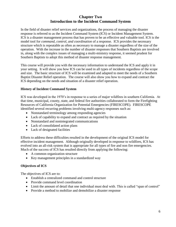# **Chapter Two Introduction to the Incident Command System**

In the field of disaster relief services and organizations, the process of managing the disaster response is referred to as the Incident Command System (ICS) or Incident Management System. ICS is a disaster management process that has proven to be an effective and valuable tool. ICS is the model tool for *command, control, and coordination* of a response. ICS provides the necessary structure which is repeatable as often as necessary to manage a disaster regardless of the size of the operation. With the increase in the number of disaster responses that Southern Baptists are involved in, along with the complex issues of managing a multi-ministry response, it seemed prudent for Southern Baptists to adopt this method of disaster response management.

This course will provide you with the necessary information to understand the ICS and apply it in your setting. It will show you how ICS can be used in all types of incidents regardless of the scope and size. The basic structure of ICS will be examined and adapted to meet the needs of a Southern Baptist Disaster Relief operation. The course will also show you how to expand and contract the ICS depending on the needs and situation of a disaster relief operation.

# **History of Incident Command System**

ICS was developed in the 1970's in response to a series of major wildfires in southern California. At that time, municipal, county, state, and federal fire authorities collaborated to form the Firefighting Resources of California Organization for Potential Emergencies (FIRESCOPE). FIRESCOPE identified several recurring problems involving multi-agency responses such as:

- Nonstandard terminology among responding agencies
- Lack of capability to expand and contract as required by the situation
- Nonstandard and nonintegrated communications
- Lack of consolidated action plans
- Lack of designated facilities

Efforts to address these difficulties resulted in the development of the original ICS model for effective incident management. Although originally developed in response to wildfires, ICS has evolved into an all-risk system that is appropriate for all types of fire and non fire emergencies. Much of the success of ICS has resulted directly from applying the following:

- A common organization structure
- Key management principles in a standardized way

#### **Objectives of ICS**

The objectives of ICS are to:

- Establish a centralized command and control structure
- Provide command level coordination
- Limit the amount of detail that one individual must deal with. This is called "span of control"
- Provide a method to mobilize and demobilize a disaster response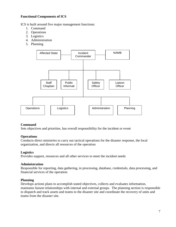# **Functional Components of ICS**

ICS is built around five major management functions:

- 1. Command
- 2. Operations
- 3. Logistics
- 4. Administration
- 5. Planning



#### **Command**

Sets objectives and priorities, has overall responsibility for the incident or event

#### **Operations**

Conducts direct ministries to carry out tactical operations for the disaster response, the local organization, and directs all resources of the operation

#### **Logistics**

Provides support, resources and all other services to meet the incident needs

#### **Administration**

Responsible for reporting, data gathering, in processing, database, credentials, data processing, and financial services of the operation

#### **Planning**

Develops actions plans to accomplish stated objectives, collects and evaluates information, maintains liaison relationships with internal and external groups. The planning section is responsible to dispatch and track assets and teams to the disaster site and coordinate the recovery of units and teams from the disaster site.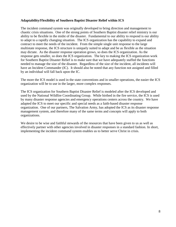# **Adaptability/Flexibility of Southern Baptist Disaster Relief within ICS**

The incident command system was originally developed to bring direction and management to chaotic crisis situations. One of the strong points of Southern Baptist disaster relief ministry is our ability to be flexible in the midst of the disaster. Fundamental to our ability to respond is our ability to adapt to a rapidly changing situation. The ICS organization has the capability to expand and contract to meet the needs of the incident. From the simple single unit response to the large multistate response, the ICS structure is uniquely suited to adapt and be as flexible as the situation may dictate. As the disaster response operation grows, so does the ICS organization. As the response gets smaller, so does the ICS organization. The key to making the ICS organization work for Southern Baptist Disaster Relief is to make sure that we have adequately staffed the functions needed to manage the size of the disaster. Regardless of the size of the incident, all incidents will have an Incident Commander (IC). It should also be noted that any function not assigned and filled by an individual will fall back upon the IC.

The more the ICS model is used in the state conventions and in smaller operations, the easier the ICS organization will be to use in the larger, more complex responses.

The ICS organization for Southern Baptist Disaster Relief is modeled after the ICS developed and used by the National Wildfire Coordinating Group. While birthed in the fire service, the ICS is used by many disaster response agencies and emergency operations centers across the country. We have adapted the ICS to meet our specific and special needs as a faith-based disaster response organization. One of our partners, The Salvation Army, has adopted the ICS as its disaster response management system, and therefore many of the same terms and concepts will apply to both organizations.

We desire to be wise and faithful stewards of the resources that have been given to us as well as effectively partner with other agencies involved in disaster responses in a standard fashion. In short, implementing the incident command system enables us to better serve Christ in crisis.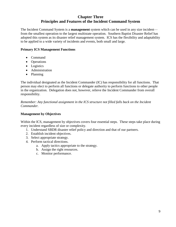# **Chapter Three Principles and Features of the Incident Command System**

The Incident Command System is a **management** system which can be used in any size incident from the smallest operation to the largest multistate operation. Southern Baptist Disaster Relief has adopted this system as its disaster relief management system. ICS has the flexibility and adaptability to be applied to a wide variety of incidents and events, both small and large.

#### **Primary ICS Management Functions**

- Command
- Operations
- Logistics
- **•** Administration
- Planning

The individual designated as the Incident Commander (IC) has responsibility for all functions. That person may elect to perform all functions or delegate authority to perform functions to other people in the organization. Delegation does not, however, relieve the Incident Commander from overall responsibility.

*Remember: Any functional assignment in the ICS structure not filled falls back on the Incident Commander.*

#### **Management by Objectives**

Within the ICS, management by objectives covers four essential steps. These steps take place during every incident regardless of size or complexity.

- 1. Understand SBDR disaster relief policy and direction and that of our partners.
- 2. Establish incident objectives.
- 3. Select appropriate strategy.
- 4. Perform tactical directions.
	- a. Apply tactics appropriate to the strategy.
	- b. Assign the right resources.
	- c. Monitor performance.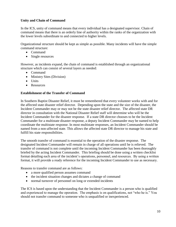# **Unity and Chain of Command**

In the ICS, unity of command means that every individual has a designated supervisor. Chain of command means that there is an orderly line of authority within the ranks of the organization with the lower levels subordinate to and connected to higher levels.

Organizational structure should be kept as simple as possible. Many incidents will have the simple command structure:

- Command
- Single resources

However, as incidents expand, the chain of command is established through an organizational structure which can consist of several layers as needed:

- Command
- Ministry Sites (Division)
- Units
- Resources

# **Establishment of the Transfer of Command**

In Southern Baptist Disaster Relief, it must be remembered that every volunteer works with and for the affected state disaster relief director. Depending upon the state and the size of the disaster, the Incident Commander may or may not be the state disaster relief director. The affected state DR director in consultation with the National Disaster Relief staff will determine who will be the Incident Commander for the disaster response. If a state DR director chooses to be the Incident Commander for a multistate disaster response, a deputy Incident Commander may be named to help coordinate the multistate response. In most multistate responses, an Incident Commander should be named from a non-affected state. This allows the affected state DR director to manage his state and fulfill his state responsibilities.

The smooth transfer of command is essential to the operation of the disaster response. The designated Incident Commander will remain in charge of all operations until he is relieved. The transfer of command is not complete until the incoming Incident Commander has been thoroughly briefed by the acting Incident Commander. This briefing should be done using a written checklist format detailing each area of the incident's operations, personnel, and resources. By using a written format, it will provide a ready reference for the incoming Incident Commander to use as necessary.

Reasons to transfer command are as follows:

- a more qualified person assumes command
- the incident situation changes and dictates a change of command
- normal turnover of personnel on long or extended incidents

The ICS is based upon the understanding that the Incident Commander is a person who is qualified and experienced to manage the operation. The emphasis is on qualifications, not "who he is." You should not transfer command to someone who is unqualified or inexperienced.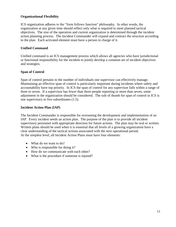# **Organizational Flexibility**

ICS organization adheres to the "form follows function" philosophy. In other words, the organization at any given time should reflect only what is required to meet planned tactical objectives. The size of the operation and current organization is determined through the incident action planning process. The Incident Commander will expand and contract the structure according to the plan. Each activated element must have a person in charge of it.

# **Unified Command**

Unified command is an ICS management process which allows all agencies who have jurisdictional or functional responsibility for the incident to jointly develop a common set of incident objectives and strategies.

# **Span of Control**

Span of control pertains to the number of individuals one supervisor can effectively manage. Maintaining an effective span of control is particularly important during incidents where safety and accountability have top priority. In ICS the span of control for any supervisor falls within a range of three to seven. If a supervisor has fewer than three people reporting or more than seven, some adjustment to the organization should be considered. The rule of thumb for span of control in ICS is one supervisory to five subordinates (1:5).

# **Incident Action Plan (IAP)**

The Incident Commander is responsible for overseeing the development and implementation of an IAP. Every incident needs an action plan. The purpose of the plan is to provide all incident supervisory personnel with appropriate direction for future actions. The plan may be oral or written. Written plans should be used when it is essential that all levels of a growing organization have a clear understanding of the tactical actions associated with the next operational period. At the simplest level, all Incident Action Plans must have four elements:

- What do we want to do?
- Who is responsible for doing it?
- How do we communicate with each other?
- What is the procedure if someone is injured?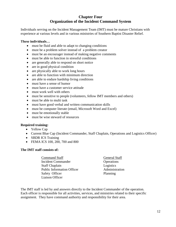# **Chapter Four Organization of the Incident Command System**

Individuals serving on the Incident Management Team (IMT) must be mature Christians with experience at various levels and in various ministries of Southern Baptist Disaster Relief.

#### **These individuals…**

- must be fluid and able to adapt to changing conditions
- must be a problem solver instead of a problem creator
- must be an encourager instead of making negative comments
- must be able to function in stressful conditions
- are generally able to respond on short notice
- are in good physical condition
- are physically able to work long hours
- are able to function with minimum direction
- are able to endure hardship living conditions
- must have a sense of humor
- must have a customer service attitude
- must work well with others
- must be sensitive to people (volunteers, fellow IMT members and others)
- must be able to multi task
- must have good verbal and written communication skills
- must be computer literate (email, Microsoft Word and Excel)
- must be emotionally stable
- must be wise steward of resources

#### **Required training:**

- Yellow Cap
- Current Blue Cap (Incident Commander, Staff Chaplain, Operations and Logistics Officer)
- SBDR ICS Training
- FEMA ICS 100, 200, 700 and 800

#### **The IMT staff consists of:**

Command Staff General Staff Incident Commander **Operations** Staff Chaplain Logistics Public Information Officer Administration Safety Officer Planning Liaison Officer

The IMT staff is led by and answers directly to the Incident Commander of the operation. Each officer is responsible for all activities, services, and ministries related to their specific assignment. They have command authority and responsibility for their area.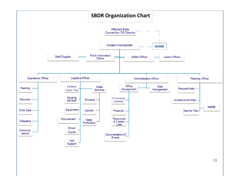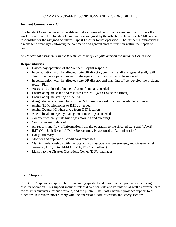# COMMAND STAFF DESCRIPTIONS AND RESPONSIBILITIES

# **Incident Commander (IC)**

The Incident Commander must be able to make command decisions in a manner that furthers the work of the Lord. The Incident Commander is assigned by the affected state and/or NAMB and is responsible for the assigned Southern Baptist Disaster Relief operation. The Incident Commander is a manager of managers allowing the command and general staff to function within their span of control.

#### *Any functional assignment in the ICS structure not filled falls back on the Incident Commander.*

#### **Responsibilities:**

- Day-to-day operation of the Southern Baptist response
- In consultation with the affected state DR director, command staff and general staff, will determine the scope and extent of the operation and ministries to be rendered
- In consultation with the affected state DR director and planning officer develop the Incident Action Plan
- Assess and adjust the Incident Action Plan daily needed
- Ensure adequate space and resources for IMT (with Logistics Officer)
- Ensure adequate staffing of the IMT
- Assign duties to all members of the IMT based on work load and available resources
- Assign TBM telephones to IMT as needed
- Assign Deputy IC when away from IMT location
- Attend local emergency management meetings as needed
- Conduct two daily staff briefings (morning and evening)
- Conduct evening debrief
- All reports and flow of information from the operation to the affected state and NAMB
- IMT (Non Unit Specific) Daily Report (may be assigned to Administration)
- Daily Summary
- Monitor and approve all credit card purchases
- Maintain relationships with the local church, association, government, and disaster relief partners (ARC, TSA, FEMA, EMA, EOC, and others)
- Liaison to the Disaster Operations Center (DOC) manager

# **Staff Chaplain**

The Staff Chaplain is responsible for managing spiritual and emotional support services during a disaster operation. This support includes internal care for staff and volunteers as well as external care for disaster survivors, rescue workers, and the public. The Staff Chaplain provides support to all functions, but relates most closely with the operations, administration and safety sections.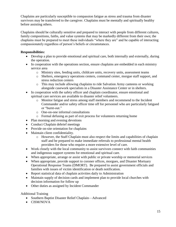Chaplains are particularly susceptible to compassion fatigue as stress and trauma from disaster survivors may be transferred to the caregiver. Chaplains must be mentally and spiritually healthy before assisting others.

Chaplains should be culturally sensitive and prepared to interact with people from different cultures, family compositions, faiths, and value systems that may be markedly different from their own; the chaplains must be prepared to meet these individuals "where they are" and be capable of interacting compassionately regardless of person's beliefs or circumstances.

# **Responsibilities:**

- Develop a plan to provide emotional and spiritual care, both internally and externally, during the operation.
- In cooperation with the operations section, ensure chaplains are embedded in each ministry service area
	- o Ministry sites, feeding units, childcare units, recovery units, assessment teams
	- o Shelters, emergency operations centers, command center, morgue staff support, and stress reduction centers
	- o This may include allowing chaplains to ride Salvation Army canteens or working alongside casework specialists in a Disaster Assistance Center or in shelters.
- In cooperation with the safety officer and chaplain coordinator, ensure emotional and spiritual care services are available to disaster relief volunteers.
	- o Monitor fatigue and stress among staff members and recommend to the Incident Commander and/or safety officer time off for personnel who are particularly fatigued or "burnt-out."
	- o One-on-one informal consultations
	- o Formal defusing as part of exit process for volunteers returning home
- Plan morning and evening devotions
- Conduct Chaplain debrief meetings
- Provide on-site orientation for chaplains
- Maintain client confidentiality.
	- o However, the Staff Chaplain must also respect the limits and capabilities of chaplain staff and be prepared to make immediate referrals to professional mental health providers for those who require a more extensive level of care.
- Work closely with the local community to assist survivors connect with faith communities and indigenous support systems for emotional and spiritual care.
- When appropriate, arrange or assist with public or private worship or memorial services
- When appropriate, provide support to coroner offices, morgues, and Disaster Mortuary Operational Response Teams (DMORT). Be prepared to assist government officials and families with issues of victim identification or death notification.
- Report statistical data of chaplain activities daily to Administration
- Maintain supply of decision cards and implement plan to provide local churches with decision information for follow up
- Other duties as assigned by Incident Commander

Additional Training

- Southern Baptist Disaster Relief Chaplain—Advanced
- CISM/NOVA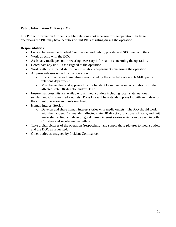# **Public Information Officer (PIO)**

The Public Information Officer is public relations spokesperson for the operation. In larger operations the PIO may have deputies or unit PIOs assisting during the operation.

- Liaison between the Incident Commander and public, private, and SBC media outlets
- Work directly with the DOC.
- Assist any media person in securing necessary information concerning the operation.
- Coordinate any unit PIOs assigned to the operation.
- Work with the affected state's public relations department concerning the operation.
- All press releases issued by the operation
	- o In accordance with guidelines established by the affected state and NAMB public relations department
	- o Must be verified and approved by the Incident Commander in consultation with the affected state DR director and/or DOC
- Ensure that press kits are available to all media outlets including local, state, national, secular, and Christian media outlets. Press kits will be a standard press kit with an update for the current operation and units involved.
- Human Interest Stories
	- o Develop and share human interest stories with media outlets. The PIO should work with the Incident Commander, affected state DR director, functional officers, and unit leadership to find and develop good human interest stories which can be used in both Christian and secular media outlets.
- Take digital pictures of the operation (respectfully) and supply these pictures to media outlets and the DOC as requested.
- Other duties as assigned by Incident Commander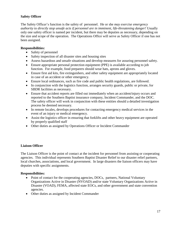# **Safety Officer**

The Safety Officer's function is the safety of personnel. He or she *may exercise emergency authority to directly stop unsafe acts if personnel are in imminent, life-threatening danger!* Usually only one safety officer is named per incident, but there may be deputies as necessary, depending on the size and scope of the operation. The Operations Office will serve as Safety Officer if one has not been assigned.

#### **Responsibilities:**

- Safety of personnel
- Safety inspection of all disaster sites and housing sites
- Assess hazardous and unsafe situations and develop measures for assuring personnel safety.
- Ensure appropriate personal protection equipment (PPE) is available according to job function. For example, food preparers should wear hats, aprons and gloves.
- Ensure first aid kits, fire extinguishers, and other safety equipment are appropriately located in case of an accident or other emergency.
- Ensure local ordinances, such as fire code and public health regulations, are followed.
- In conjunction with the logistics function, arranges security guards, public or private, for SBDR facilities as necessary.
- Ensure that accident reports are filled out immediately when an accident/injury occurs and reported to the Southern Baptist insurance company, Incident Commander, and the DOC. The safety officer will work in conjunction with these entities should a detailed investigation process be deemed necessary.
- In remote locales, develops procedures for contacting emergency medical services in the event of an injury or medical emergency.
- Assist the logistics officer in ensuring that forklifts and other heavy equipment are operated by properly qualified staff
- Other duties as assigned by Operations Officer or Incident Commander

# **Liaison Officer**

The Liaison Officer is the point of contact at the incident for personnel from assisting or cooperating agencies. This individual represents Southern Baptist Disaster Relief to our disaster relief partners, local churches, associations, and local government. In large disasters the liaison officers may have deputies with specific assignments.

- Point of contact for the cooperating agencies, DOCs, partners, National Voluntary Organizations Active in Disaster (NVOAD) and/or state Voluntary Organizations Active in Disaster (VOAD), FEMA, affected state EOCs, and other government and state convention agencies.
- Other duties as assigned by Incident Commander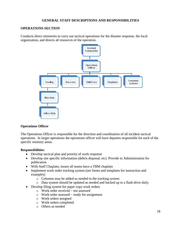# **GENERAL STAFF DESCRIPTIONS AND RESPONSIBILITIES**

# **OPERATIONS SECTION**

Conducts direct ministries to carry out tactical operations for the disaster response, the local organization, and directs all resources of the operation.



# **Operations Officer**

The Operations Officer is responsible for the direction and coordination of all incident tactical operations. In larger operations the operations officer will have deputies responsible for each of the specific ministry areas.

- Develop tactical plan and priority of work response
- Develop site specific information (debris disposal, etc) Provide to Administration for publication
- With Staff Chaplain, insure all teams have a TBM chaplain
- Implement work order tracking system (see forms and templates for instruction and examples)
	- o Columns may be added as needed to the tracking system
	- o Data system should be updated as needed and backed up to a flash drive daily
- Develop filing system for paper copy work orders
	- o Work order received not assessed
	- o Work order assessed ready for assignment
	- o Work orders assigned
	- o Work orders completed
	- o Others as needed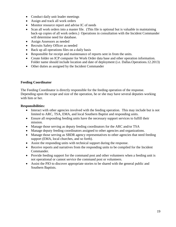- Conduct daily unit leader meetings
- Assign and track all work orders
- Monitor resource report and advise IC of needs
- Scan all work orders into a master file. (This file is optional but is valuable in maintaining back-up copies of all work orders.) Operations in consultation with the Incident Commander will determine need for database.
- Assign Assessors as needed
- Recruits Safety Officer as needed
- Back up all operations files on a daily basis
- Responsible for receipt and maintenance of reports sent in from the units.
- Create folder on ICP computer for Work Order data base and other operation information. Folder name should include location and date of deployment (i.e. Dallas.Operations.12.2013)
- Other duties as assigned by the Incident Commander

# **Feeding Coordinator**

The Feeding Coordinator is directly responsible for the feeding operation of the response. Depending upon the scope and size of the operation, he or she may have several deputies working with him or her.

- Interact with other agencies involved with the feeding operation. This may include but is not limited to ARC, TSA, EMA, and local Southern Baptist and responding units.
- Ensure all responding feeding units have the necessary support services to fulfill their mission.
- Manage those serving as deputy feeding coordinators for the ARC and/or TSA
- Manage deputy feeding coordinators assigned to other agencies and organizations.
- Manage those serving as SBDR agency representatives to other agencies that need feeding support (EMA, local churches, and so forth).
- Assist the responding units with technical support during the response.
- Receive reports and narratives from the responding units to be compiled for the Incident Commander.
- Provide feeding support for the command post and other volunteers when a feeding unit is not operational or cannot service the command post or volunteers.
- Assist the PIO to discover appropriate stories to be shared with the general public and Southern Baptists.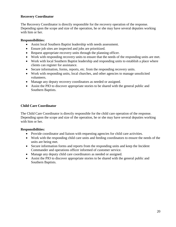# **Recovery Coordinator**

The Recovery Coordinator is directly responsible for the recovery operation of the response. Depending upon the scope and size of the operation, he or she may have several deputies working with him or her.

#### **Responsibilities:**

- Assist local Southern Baptist leadership with needs assessment.
- Ensure job sites are inspected and jobs are prioritized.
- Request appropriate recovery units through the planning officer.
- Work with responding recovery units to ensure that the needs of the responding units are met.
- Work with local Southern Baptist leadership and responding units to establish a place where clients can register for assistance.
- Secure information, forms, reports, etc. from the responding recovery units.
- Work with responding units, local churches, and other agencies to manage unsolicited volunteers.
- Manage any deputy recovery coordinators as needed or assigned.
- Assist the PIO to discover appropriate stories to be shared with the general public and Southern Baptists.

# **Child Care Coordinator**

The Child Care Coordinator is directly responsible for the child care operation of the response. Depending upon the scope and size of the operation, he or she may have several deputies working with him or her.

- Provide coordinator and liaison with requesting agencies for child care activities.
- Work with the responding child care units and feeding coordinators to ensure the needs of the units are being met.
- Secure information forms and reports from the responding units and keep the Incident Commander and operations officer informed of customer service.
- Manage any deputy child care coordinators as needed or assigned.
- Assist the PIO to discover appropriate stories to be shared with the general public and Southern Baptists.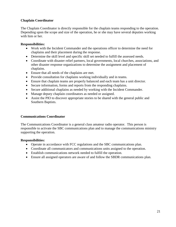# **Chaplain Coordinator**

The Chaplain Coordinator is directly responsible for the chaplain teams responding to the operation. Depending upon the scope and size of the operation, he or she may have several deputies working with him or her.

# **Responsibilities:**

- Work with the Incident Commander and the operations officer to determine the need for chaplains and their placement during the response.
- Determine the skill level and specific skill set needed to fulfill the assessed needs.
- Coordinate with disaster relief partners, local governments, local churches, associations, and other disaster response organizations to determine the assignment and placement of chaplains.
- Ensure that all needs of the chaplains are met.
- Provide consultation for chaplains working individually and in teams.
- Ensure that chaplain teams are properly balanced and each team has a unit director.
- Secure information, forms and reports from the responding chaplains.
- Secure additional chaplains as needed by working with the Incident Commander.
- Manage deputy chaplain coordinators as needed or assigned.
- Assist the PIO to discover appropriate stories to be shared with the general public and Southern Baptists.

# **Communications Coordinator**

The Communications Coordinator is a general class amateur radio operator. This person is responsible to activate the SBC communications plan and to manage the communications ministry supporting the operation.

- Operate in accordance with FCC regulations and the SBC communications plan.
- Coordinate all communicators and communications units assigned to the operation.
- Establish communications network needed to fulfill the operation.
- Ensure all assigned operators are aware of and follow the SBDR communications plan.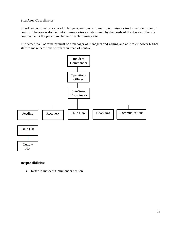# **Site/Area Coordinator**

Site/Area coordinator are used in larger operations with multiple ministry sites to maintain span of control. The area is divided into ministry sites as determined by the needs of the disaster. The site commander is the person in charge of each ministry site.

The Site/Area Coordinator must be a manager of managers and willing and able to empower his/her staff to make decisions within their span of control.



# **Responsibilities:**

• Refer to Incident Commander section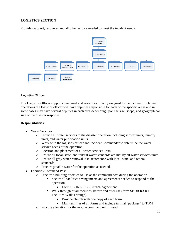# **LOGISTICS SECTION**

Provides support, resources and all other service needed to meet the incident needs.



# **Logistics Officer**

The Logistics Officer supports personnel and resources directly assigned to the incident. In larger operations the logistics officer will have deputies responsible for each of the specific areas and in some cases may have several deputies in each area depending upon the size, scope, and geographical size of the disaster response.

- Water Services
	- o Provide all water services to the disaster operation including shower units, laundry units, and water purification units.
	- o Work with the logistics officer and Incident Commander to determine the water service needs of the operation.
	- o Location and placement of all water services units.
	- o Ensure all local, state, and federal water standards are met by all water services units.
	- o Ensure all gray water removal is in accordance with local, state, and federal standards.
	- o Procure potable water for the operation as needed.
- Facilities/Command Post
	- o Procure a building or office to use as the command post during the operation
		- Secure all facilities arrangements and agreements needed to respond to the operation.
			- Form SBDR R3ICS Church Agreement
		- Walk through of all facilities, before and after use (form SBDR R3 ICS Facilities Walk Through)
			- Provide church with one copy of each form
			- Maintain files of all forms and include in final "package" to TBM
	- o Procure a location for the mobile command unit if used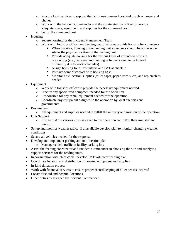- o Procure local services to support the facilities/command post task, such as power and phones
- o Work with the Incident Commander and the administration officer to provide adequate space, equipment, and supplies for the command post
- o Set up the command post.
- Housing
	- o Secure housing for the Incident Management Team
	- o Work with logistics officer and feeding coordinator to provide housing for volunteers
		- When possible, housing of the feeding unit volunteers should be at the same site as the physical location of the feeding unit.
		- Provide adequate housing for the various types of volunteers who are responding (e.g., recovery and feeding volunteers need to be housed differently due to work schedules).
		- Assign housing for all volunteers and IMT at check in.
		- Primary point of contact with housing host
		- Monitor host location supplies (toilet paper, paper towels, etc) and replenish as needed
- Equipment
	- o Work with logistics officer to provide the necessary equipment needed
	- o Procure any specialized equipment needed for the operation.
	- o Responsible for any rental equipment needed for the operation.
	- o Coordinate any equipment assigned to the operation by local agencies and governments.
- Procurement
	- o All equipment and supplies needed to fulfill the ministry and mission of the operation
- Unit Support
	- o Ensure that the various units assigned to the operation can fulfill their ministry and mission.
- Set up and monitor weather radio. If unavailable develop plan to monitor changing weather conditions
- Secure all vehicles needed for the response.
- Develop and implement parking and unit location plan
	- o Manage vehicle traffic in facility parking lots
- Assist the feeding coordinator and Incident Commander in choosing the site and supplying support services for the feeding units.
- In consultation with chief cook, develop IMT volunteer feeding plan
- Coordinate location and distribution of donated equipment and supplies
- In-kind donation process
- Work with financial services to ensure proper record keeping of all expenses incurred
- Locate first aid and hospital locations
- Other duties as assigned by Incident Commander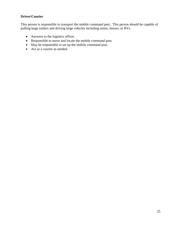# **Driver/Courier**

This person is responsible to transport the mobile command post. This person should be capable of pulling large trailers and driving large vehicles including semis, busses, or RVs.

- Answers to the logistics officer.
- Responsible to move and locate the mobile command post.
- May be responsible to set up the mobile command post.
- Act as a courier as needed.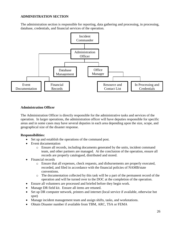# **ADMINISTRATION SECTION**

The administration section is responsible for reporting, data gathering and processing, in processing, database, credentials, and financial services of the operation.



# **Administration Officer**

The Administration Officer is directly responsible for the administrative tasks and services of the operation. In larger operations, the administration officer will have deputies responsible for specific areas and in some cases may have several deputies in each area depending upon the size, scope, and geographical size of the disaster response.

- Set up and establish the operations of the command post.
- Event documentation
	- o Ensure all records, including documents generated by the units, incident command team, and other partners are managed. At the conclusion of the operation, ensure all records are properly catalogued, distributed and stored.
- Financial records
	- o Ensure that all expenses, check requests, and disbursements are properly executed, recorded, and filed in accordance with the financial policies of NAMB/state conventions.
	- o The documentation collected by this task will be a part of the permanent record of the operation and will be turned over to the DOC at the completion of the operation.
- Ensure all volunteers are processed and briefed before they begin work.
- Manage DR field kit. Ensure all items are retuned.
- Set up DR computer network, printers and internet (local service if available, otherwise hot spot)
- Manage incident management team and assign shifts, tasks, and workstations.
- Obtain Disaster number if available from TBM, ARC, TSA or FEMA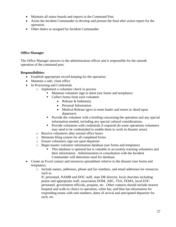- Maintain all status boards and reports in the Command Post.
- Assist the Incident Commander to develop and present the final after action report for the operation.
- Other duties as assigned by Incident Commander

# **Office Manager**

The Office Manager answers to the administration officer and is responsible for the smooth operation of the command post.

# **Responsibilities:**

- Establish appropriate record keeping for the operation.
- Maintain a safe, clean office
- In Processing and Credentials
	- o Implement a volunteer check in process
		- Maintain volunteer sign in sheet (see forms and templates)
		- Collect forms from each volunteer
			- Release & Indemnity
			- Personal Information
			- Medical Release (give to team leader and return or shred upon departure)
		- Provide the volunteer with a briefing concerning the operation and any special information needed, including any special cultural considerations.
		- Provide volunteers with credentials if required (In some operations volunteers may need to be credentialed to enable them to work in disaster areas)
		- o Receive volunteers after normal office hours
		- o Maintain filing system for all completed forms
		- o Ensure volunteers sign out upon departure
		- o Begin master volunteer information database (see forms and templates)
			- This database is optional but is valuable in accurately tracking volunteers and their information. Administration in consultation with the Incident Commander will determine need for database.
- Create an Excel contact and resources spreadsheet relative to the disaster (see forms and templates).
	- o Include names, addresses, phone and fax numbers, and email addresses for resources such as

IC personnel, NAMB and DOC staff, state DR director, local churches including pastor and appropriate staff, association DOM, ARC, TSA, FEMA, local EOC personnel, government officials, propane, etc. Other contacts should include nearest hospital and walk-in clinics in operation, white hat, and blue hat information for responding teams with unit numbers, dates of arrival and anticipated departure for each, etc.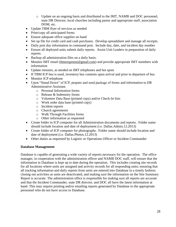- o Update on an ongoing basis and distributed to the IMT, NAMB and DOC personnel, state DR Director, local churches including pastor and appropriate staff, association DOM, etc.
- Update TBM flyer of services as needed
- Print/copy all anticipated forms
- Ensure adequate office supplies on hand
- Set up file for credit card and cash purchases. Develop spreadsheet and manage all receipts.
- Daily post day information in command post. Include day, date, and incident day number
- Ensure all deployed units submit daily reports. Assist Unit Leaders in preparation of daily reports.
- Backup all administration files on a daily basis.
- Monitor IMT email [\(tbmresponse@gmail.com\)](mailto:tbmresponse@gmail.com) and provide appropriate IMT members with information
- Update minutes, as needed on IMT telephones and hot spots
- If TBM ICP bus is used, inventory bus contents upon arrival and prior to departure of bus
- Monitor ICP telephone
- Upon "Stand Down" of ICP, prepare and send package of forms and information to DR Administrative Assistant.
	- o Personal Information forms
	- o Release & Indemnity forms
	- o Volunteer Data Base (printed copy) and/or Check-In lists
	- o Work order data base (printed copy)
	- o Incident reports
	- o Church agreements
	- o Walk Through Facilities forms
	- o Other information as requested
- Create folder in ICP computer for all Administration documents and reports. Folder name should include location and date of deployment (i.e. Dallas.Admin.12.2013)
- Create folder of ICP computer for photographs. Folder name should include location and date of deployment (i.e. Dallas.Photos.12.2013)
- Other duties as requested by Logistic or Operations Officer or Incident Commander

# **Database Management**

Database is capable of generating a wide variety of reports necessary for the operation. The office manager, in cooperation with the administration officer and NAMB DOC staff, will ensure that the information in Database is kept up to date during the operation. This includes creating site records for all locations where units are assigned and activity records for all responding units; ensuring that all tracking information and daily reports from units are entered into Database in a timely fashion; closing out activities as units are deactivated, and making sure the information on the Site Summary Report is accurate. The administration office is responsible for making sure all reports are accurate and that the Incident Commander, state DR director, and DOC all have the latest information at hand. This may require printing and/or emailing reports generated by Database to the appropriate personnel who do not have access to Database.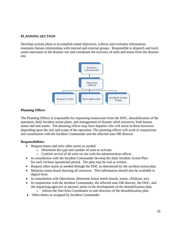# **PLANNING SECTION**

Develops actions plans to accomplish stated objectives, collects and evaluates information, maintains liaison relationships with internal and external groups. Responsible to dispatch and track assets and teams to the disaster site and coordinate the recovery of units and teams from the disaster site.



#### **Planning Officer**

The Planning Officer is responsible for requesting teams/units from the DOC, demobilization of the operation, daily incident action plans, and management of disaster relief resources, both human assets and unit assets. The planning officer may have deputies who will assist in these functions depending upon the size and scope of the operation. The planning officer will work in conjunction and consultation with the Incident Commander and the affected state DR director.

- Request teams and units other assets as needed
	- o Determine the type and number of units to activate.
	- o Confirm arrival of all units on site with the administration officer.
- In consultation with the Incident Commander develop the daily Incident Action Plan for each 24-hour operational period. The plan may be oral or written.
- Request other assets as needed through the DOC as determined by the incident action plan.
- Maintain status board showing all resources. This information should also be available in digital form.
- In consultation with Operations, determine future needs (meals, teams, childcare, etc)
- In conjunction with the Incident Commander, the affected state DR director, the DOC, and the requesting agencies or partners assist in the development of the demobilization plan
	- o Inform the Site/Area Coordinator or unit directors of the demobilization plan.
- Other duties as assigned by Incident Commander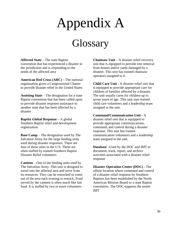# Appendix A

# **Glossary**

**Affected State –** The state Baptist convention that has experienced a disaster in the jurisdiction and is responding to the needs of the affected area

**American Red Cross (ARC) –** The national organization given a Congressional Charter to provide disaster relief in the United States

**Assisting State** – The designation for a state Baptist convention that has been called upon to provide disaster response assistance to another state that has been affected by a disaster

**Baptist Global Response –** A global Southern Baptist relief and development organization

**Base Camp** – The designation used by The Salvation Army for the large feeding units used during disaster responses. There are four of these units in the U.S. These are often staffed by trained Southern Baptist Disaster Relief volunteers

**Canteen** – One of the feeding units used by The Salvation Army. This unit is designed to travel into the affected area and serve from its resources. They can be restocked or come out of the area each evening to restock. Food served by the canteen is often much like fast food. It is staffed by two or more volunteers

**Chainsaw Unit –** A disaster relief recovery unit that is equipped to provide tree removal from homes and/or yards damaged by a disaster. This unit has trained chainsaw operators assigned to it.

**Child Care Unit -** A disaster relief unit that is equipped to provide appropriate care for children of families affected by a disaster. The unit usually cares for children up to seven years of age. This unit uses trained child care volunteers and a leadership team assigned to the unit.

#### **Command/Communication Unit** - A

disaster relief unit that is equipped to provide appropriate communications, command, and control during a disaster response. This unit has trained communication volunteers and a leadership team assigned to the unit.

**Database –**Used by the DOC and IMT to document, track, report, and archive activities associated with a disaster relief response

**Disaster Operation Center (DOC) -** The offsite location where command and control of a disaster relief response by Southern Baptists has been established by the North American Mission Board or a state Baptist convention. The DOC supports the onsite IMT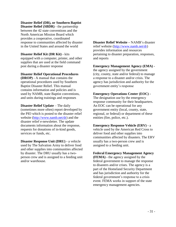# **Disaster Relief (DR), or Southern Baptist**

**Disaster Relief (SBDR)** - the partnership between the 42 state conventions and the North American Mission Board which provides a cooperative, coordinated response to communities affected by disaster in the United States and around the world

**Disaster Relief Kit (DR Kit) -** kits equipped with a computer, printer, and other supplies that are used at the field command post during a disaster response

#### **Disaster Relief Operational Procedures**

**(DROP)** - A manual that contains the operational procedures used by Southern Baptist Disaster Relief. This manual contains information and policies and is used by NAMB, state Baptist conventions, and units during trainings and responses

**Disaster Relief Update – The daily** (sometimes more often) report developed by the PIO which is posted to the disaster relief website [\(http://www.namb.net/dr\)](http://www.namb.net/dr) and the disaster relief e-newsletter. The update documents information about the response, requests for donations of in-kind goods, services or funds, etc.

**Disaster Response Unit (DRU) -** a vehicle used by The Salvation Army to deliver food and other supplies into communities affected by disaster. The DRU usually has a twoperson crew and is assigned to a feeding unit and/or warehouse.

**Disaster Relief Website –** NAMB's disaster relief website [\(http://www.namb.net/dr\)](http://www.namb.net/dr) provides information and resources pertaining to disaster preparation, responses, and reports

#### **Emergency Management Agency (EMA)**  the agency assigned by the government (city, county, state and/or federal) to manage a response to a disaster and/or crisis. The agency has jurisdiction and authority for the government entity's response

#### **Emergency Operations Center (EOC) -**

The designation use by the emergency response community for their headquarters. An EOC can be operational for any government entity (local, county, state, regional, or federal) or department of these entities (fire, police, etc.).

#### **Emergency Response Vehicle (ERV) -** a

vehicle used by the American Red Cross to deliver food and other supplies into communities affected by disasters. The ERV usually has a two-person crew and is assigned to a feeding unit.

#### **Federal Emergency Management Agency**

**(FEMA) -** the agency assigned by the federal government to manage the response to disasters and/or crises. The agency is a part of the Homeland Security Department and has jurisdiction and authority for the federal government's response to a crisis event. FEMA works in support of the state emergency management agencies.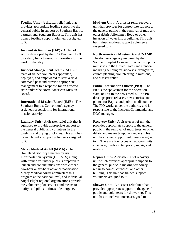**Feeding Unit -** A disaster relief unit that provides appropriate feeding support to the general public in support of Southern Baptist partners and Southern Baptists. This unit has trained feeding support volunteers assigned to it.

**Incident Action Plan (IAP) -** A plan of action developed by the ICS Team and DOC on a daily basis to establish priorities for the work of that day.

**Incident Management Team (IMT)** - A team of trained volunteers appointed, deployed, and empowered to staff a field command post and provide appropriate management to a response for an affected state and/or the North American Mission Board.

**International Mission Board (IMB) -** The Southern Baptist Convention's agency assigned responsibility for international mission activity.

**Laundry Unit -** A disaster relief unit that is equipped to provide appropriate support to the general public and volunteers in the washing and drying of clothes. This unit has trained laundry support volunteers assigned to it.

**Mercy Medical Airlift (MMA)** - The Homeland Security Emergency Air Transportation System (HSEATS) along with trained volunteer pilots is prepared to launch and conduct missions with either a two-hour or six-hour advance notification. Mercy Medical Airlift administers this program at the national level, and individual Angel Flight regional organizations provide the volunteer pilot services and means to notify said pilots in times of emergency.

**Mud-out Unit -** A disaster relief recovery unit that provides for appropriate support to the general public in the removal of mud and other debris following a flood or other invasion of water into a building. This unit has trained mud-out support volunteers assigned to it.

**North American Mission Board (NAMB)**

The domestic agency assigned by the Southern Baptist Convention which supports ministries in the United States and Canada, including sending missionaries, evangelism, church planting, volunteering in missions, and disaster relief.

**Public Information Officer (PIO) -** The PIO is the spokesman for the operation, state, or unit to the news media. The PIO develops press releases, news stories, and photos for Baptist and public media outlets. The PIO works under the authority and is responsible to the Incident Commander and DOC manager.

**Recovery Unit -** A disaster relief unit that provides appropriate support to the general public in the removal of mud, trees, or other debris and makes temporary repairs. This unit has trained support volunteers assigned to it. There are four types of recovery units: chainsaw, mud-out, temporary repair, and roofing.

**Repair Unit –** A disaster relief recovery unit which provides appropriate support to the general public in making temporary repair to homes, churches, and other building. This unit has trained support volunteers assigned to it.

**Shower Unit -** A disaster relief unit that provides appropriate support to the general public and volunteers for showering. This unit has trained volunteers assigned to it.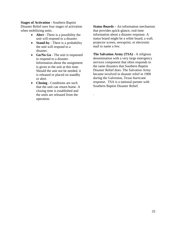#### **Stages of Activation -** Southern Baptist

Disaster Relief uses four stages of activation when mobilizing units.

- **Alert** There is a possibility the unit will respond to a disaster.
- **Stand-by** There is a probability the unit will respond to a disaster.
- **Go/No Go** The unit is requested to respond to a disaster. Information about the assignment is given to the unit at this time. Should the unit not be needed, it is released or placed on standby or alert.
- **Closing**  Conditions are such that the unit can return home. A closing time is established and the units are released from the operation.

**Status Boards –** An information mechanism that provides quick-glance, real-time information about a disaster response. A status board might be a white board, a wall, projector screen, newsprint, or electronic mail to name a few.

**The Salvation Army (TSA) -** A religious denomination with a very large emergency services component that often responds to the same disasters that Southern Baptist Disaster Relief does. The Salvation Army became involved in disaster relief in 1900 during the Galveston, Texas hurricane response. TSA is a national partner with Southern Baptist Disaster Relief.

.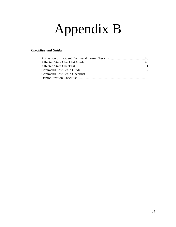# Appendix B

# *Checklists and Guides*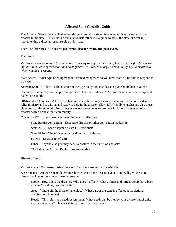#### **Affected State Checklist Guide**

The Affected State Checklist Guide was designed to help a state disaster relief director respond to a disaster in his state. This is not an exhaustive list; rather it is a guide to assist the state director in implementing a disaster response plan in his state.

There are three areas of concern: **pre-event, disaster event, and post-event.** 

#### **Pre-Event**

*That time before an actual disaster event. This may be days in the case of hurricanes or floods or mere minutes in the case of tornadoes and earthquakes. It is that time before you actually have a disaster to which you must respond.*

State Assets – What type of equipment and trained manpower do you have that will be able to respond to a disaster.

Activate State DR Plan – Is the disaster of the type that your state disaster plan should be activated?

Readiness – What is your manpower/equipment level of readiness? Are your people and the equipment ready to respond?

 $DR$ -friendly Churches – A DR-friendly church is a church in your state that is supportive of the disaster relief ministry and is willing and ready to help in the disaster effort. DR-friendly churches are also those churches that the state DR director has pre-event agreements to use their facilities in the event of a disaster within or near their community.

Contacts – Who do you need to contact in case of a disaster?

State Baptist convention – Executive director or other convention leadership

State ARC – Lead chapter or state DR specialists

State EMA – The state emergency director or authority

NAMB –Disaster relief staff

Other – Anyone else you may need to contact in the event of a disaster

The Salvation Army – Regional representative

#### **Disaster Event**

#### *That time when the disaster takes place and the state responds to the disaster.*

Assessments – An assessment determines how extensive the disaster event is and will give the state director an idea of how he will need to respond.

Scope – How big is the disaster? Who does it affect? What utilities and infrastructure have been affected? In short, how bad is it?

Area – Where did the disaster take place? What part of the state is affected (associations, counties, or churches).

Needs – This refers to a needs assessment. What needs can be met by your disaster relief units and/or manpower? This is a state DR ministry assessment.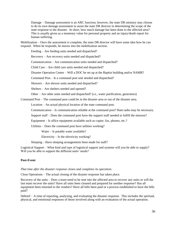Damage – Damage assessment is an ARC function; however, the state DR ministry may choose to do its own damage assessment to assist the state DR director in determining the scope of the state response to the disaster. In short, how much damage has been done to the affected area? This is usually given as a monetary value for personal property and an injury/death report for human suffering.

Mobilization – Once the assessment is complete, the state DR director will have some idea how he can respond. When he responds, he moves into the mobilization section.

Feeding – Are feeding units needed and dispatched?

Recovery – Are recovery units needed and dispatched?

Communication – Are communication units needed and dispatched?

Child Care – Are child care units needed and dispatched?

Disaster Operation Center – Will a DOC be set up at the Baptist building and/or NAMB?

Command Post – Is a command post unit needed and dispatched?

Showers – Are shower units needed and dispatched?

Shelters – Are shelters needed and opened?

Other – Are other units needed and dispatched? (i.e., water purification, generators)

Command Post – The command post could be in the disaster area or out of the disaster area.

Location – An actual physical location of the state command post.

Communication – Is communication reliable at the command post? Ham radio may be necessary.

Support staff – Does the command post have the support staff needed to fulfill the mission?

Equipment – Is office equipment available such as copier, fax, phones, etc.?

Utilities – Does the command post have utilities working?

Water – Is potable water available?

Electricity – Is the electricity working?

Sleeping – Have sleeping arrangements been made for staff?

Logistical Support – What kind and type of logistical support and systems will you be able to supply? Will you be able to support the different units' needs?

#### **Post-Event**

#### *That time after the disaster response closes and completes its operation.*

Close Operations – The actual closing of the disaster response has taken place.

Recovery of the units – Does a team need to be sent into the affected area to recover any units or will the last team recover the units? Have all units been cleaned and prepared for another response? Has all equipment been returned to the vendors? Have all bills been paid or a process established to have the bills paid?

Debrief – A time of reporting, analyzing, and evaluating the disaster response. This includes the spiritual, physical, and emotional responses of those involved along with an evaluation of the actual operation.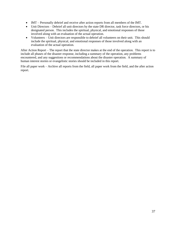- IMT Personally debrief and receive after action reports from all members of the IMT.
- Unit Directors Debrief all unit directors by the state DR director, task force directors, or his designated person. This includes the spiritual, physical, and emotional responses of those involved along with an evaluation of the actual operation.
- Volunteers Unit directors are responsible to debrief all volunteers on their unit. This should include the spiritual, physical, and emotional responses of those involved along with an evaluation of the actual operation.

After Action Report – The report that the state director makes at the end of the operation. This report is to include all phases of the disaster response, including a summary of the operation, any problems encountered, and any suggestions or recommendations about the disaster operation. A summary of human interest stories or evangelistic stories should be included in this report.

File all paper work – Archive all reports from the field, all paper work from the field, and the after action report.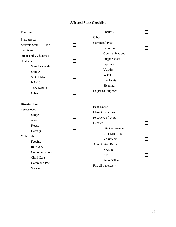# **Affected State Checklist**

| <b>Pre-Event</b>                                                                                                                                                                                        | <b>Shelters</b>                                                                                                                                                                                                                               |  |
|---------------------------------------------------------------------------------------------------------------------------------------------------------------------------------------------------------|-----------------------------------------------------------------------------------------------------------------------------------------------------------------------------------------------------------------------------------------------|--|
| <b>State Assets</b><br>Activate State DR Plan<br>Readiness<br>DR-friendly Churches<br>Contacts<br>State Leadership<br><b>State ARC</b><br><b>State EMA</b><br><b>NAMB</b><br><b>TSA Region</b><br>Other | Other<br><b>Command Post</b><br>Location<br>Communications<br>Support staff<br>Equipment<br><b>Utilities</b><br>Water<br>Electricity<br>Sleeping<br><b>Logistical Support</b>                                                                 |  |
| <b>Disaster Event</b><br>Assessments<br>Scope<br>Area<br><b>Needs</b><br>Damage<br>Mobilization<br>Feeding<br>Recovery<br>Communications<br>Child Care<br><b>Command Post</b><br>Shower                 | <b>Post Event</b><br><b>Close Operations</b><br>Recovery of Units<br>Debrief<br><b>Site Commander</b><br><b>Unit Directors</b><br>Volunteers<br>After Action Report<br><b>NAMB</b><br><b>ARC</b><br><b>State Office</b><br>File all paperwork |  |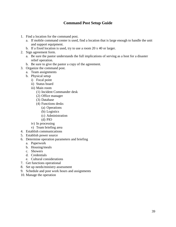# **Command Post Setup Guide**

- 1. Find a location for the command post.
	- a. If mobile command center is used, find a location that is large enough to handle the unit and support equipment.
	- b. If a fixed location is used, try to use a room 20 x 40 or larger.
- 2. Sign agreement form.
	- a. Be sure the pastor understands the full implications of serving as a host for a disaster relief operation.
	- b. Be sure to give the pastor a copy of the agreement.
- 3. Organize the command post.
	- a. Team assignments
	- b. Physical setup
		- i) Focal point
		- ii) Status board
		- iii) Main room
			- (1) Incident Commander desk
			- (2) Office manager
			- (3) Database
			- (4) Functions desks
				- (a) Operations
				- (b) Logistics
				- (c) Administration
				- (d) PIO
		- iv) In processing
		- v) Team briefing area
- 4. Establish communications
- 5. Establish power source
- 6. Determine operation parameters and briefing
	- a. Paperwork
	- b. Housing/meals
	- c. Showers
	- d. Credentials
	- e. Cultural considerations
- 7. Get functions operational
- 8. Set up needs/ministry assessment
- 9. Schedule and post work hours and assignments
- 10. Manage the operation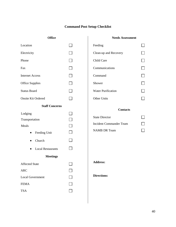# **Command Post Setup Checklist**

# **Office**

# **Needs Assessment**

 $\Box$ 

 $\Box$ 

 $\Box$ 

 $\Box$ 

 $\Box$ 

 $\Box$ 

 $\Box$ 

 $\Box$ 

 $\Box$ 

 $\Box$ 

 $\Box$ 

| Location                                                                                                                      |               | Feeding                                                                                           |
|-------------------------------------------------------------------------------------------------------------------------------|---------------|---------------------------------------------------------------------------------------------------|
| Electricity                                                                                                                   | $\mathcal{L}$ | Clean-up and Recovery                                                                             |
| Phone                                                                                                                         | $\sim 10$     | Child Care                                                                                        |
| Fax                                                                                                                           |               | Communications                                                                                    |
| <b>Internet Access</b>                                                                                                        |               | Command                                                                                           |
| <b>Office Supplies</b>                                                                                                        |               | Shower                                                                                            |
| <b>Status Board</b>                                                                                                           | $\Box$        | <b>Water Purification</b>                                                                         |
| <b>Onsite Kit Ordered</b>                                                                                                     |               | <b>Other Units</b>                                                                                |
| <b>Staff Concerns</b>                                                                                                         |               |                                                                                                   |
| Lodging<br>Transportation<br>Meals<br>Feeding Unit<br>Church<br>٠<br><b>Local Restaurants</b><br>$\bullet$<br><b>Meetings</b> | $\sim$        | <b>Contacts</b><br><b>State Director</b><br><b>Incident Commander Team</b><br><b>NAMB DR Team</b> |
| <b>Affected State</b><br><b>ARC</b><br><b>Local Government</b><br><b>FEMA</b>                                                 |               | <b>Address:</b><br><b>Directions:</b>                                                             |
| <b>TSA</b>                                                                                                                    |               |                                                                                                   |

 $\mathbf{I}$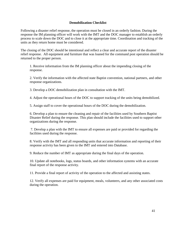#### **Demobilization Checklist**

Following a disaster relief response, the operation must be closed in an orderly fashion. During the response the IM planning officer will work with the IMT and the DOC manager to establish an orderly process to scale down the DOC and to close it at the appropriate time. Coordination and tracking of the units as they return home must be considered.

The closing of the DOC should be intentional and reflect a clear and accurate report of the disaster relief response. All equipment and furniture that was loaned for the command post operation should be returned to the proper person.

1. Receive information from the IM planning officer about the impending closing of the response.

2. Verify the information with the affected state Baptist convention, national partners, and other response organizations.

3. Develop a DOC demobilization plan in consultation with the IMT.

4. Adjust the operational hours of the DOC to support tracking of the units being demobilized.

5. Assign staff to cover the operational hours of the DOC during the demobilization.

6. Develop a plan to ensure the cleaning and repair of the facilities used by Southern Baptist Disaster Relief during the response. This plan should include the facilities used to support other organizations during the response.

7. Develop a plan with the IMT to ensure all expenses are paid or provided for regarding the facilities used during the response.

8. Verify with the IMT and all responding units that accurate information and reporting of their response activity has been given to the IMT and entered into Database.

9. Reduce the number of IMT as appropriate during the final days of the operation.

10. Update all notebooks, logs, status boards, and other information systems with an accurate final report of the response activity.

11. Provide a final report of activity of the operation to the affected and assisting states.

12. Verify all expenses are paid for equipment, meals, volunteers, and any other associated costs during the operation.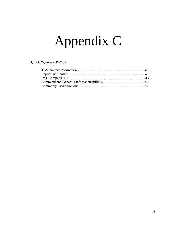# Appendix C

# *Quick Reference Pullout*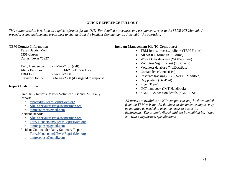# **QUICK REFERENCE PULLOUT**

*This pullout section is written as a quick reference for the IMT. For detailed procedures and assignments, refer to the SBDR ICS Manual. All procedures and assignments are subject to change from the Incident Commander as dictated by the operation.*

#### **TBM Contact Information**

Texas Baptist Men 5351 Catron Dallas, Texas 75227

| Terry Henderson  | 214-676-7201 (cell)                    |
|------------------|----------------------------------------|
| Alicia Enriquez  | 214-275-1177 (office)                  |
| TBM Fax          | 214-381-7900                           |
| Survivor Hotline | 866-826-2600 (if assigned to response) |

#### **Report Distribution**

Unit Daily Reports, Master Volunteer List and IMT Daily Reports

- o [reportsdr@TexasBaptistMen.org](mailto:reportsdr@TexasBaptistMen.org)
- o Alicia.enriquez@texasbaptistmen.org
- o [tbmresponse@gmail.com](mailto:tbmresponse@gmail.com)

#### Incident Reports

- o Alicia.enriquez@texasbaptistmen.org
- o [Terry.Henderson@TexasBaptistMen.org](mailto:Terry.Henderson@TexasBaptistMen.org)
- o [tbmresponse@gmail.com](mailto:tbmresponse@gmail.com)

Incident Commander Daily Summary Report

- o [Terry.Henderson@TexasBaptistMen.org](mailto:Terry.Henderson@TexasBaptistMen.org)
- o [tbmresponse@gmail.com](mailto:tbmresponse@gmail.com)

# **Incident Management Kit (IC Computers)**

- TBM forms, process, policies (TBM Forms)
- All SB ICS forms (ICS Forms)
- Work Order database (WODataBase)
- Volunteer Sign In sheet (VolCheck)
- Volunteer database (VolDataBase)
- Contact list (ContactList)
- Resource tracking  $(SB ICS211 Modified)$
- Day posting (DayPost)
- $\bullet$  Flyer (Flyer)
- IMT handbook (IMT Handbook)
- SBDR ICS position details (SBDRICS)

*All forms are available on ICP computer or may be downloaded from the TBM website. All database or document examples may be modified as needed to meet the needs of a specific deployment. The example files should not be modified but "save as" with a deployment specific name.*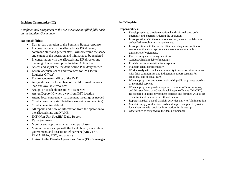#### **Incident Commander (IC)**

*Any functional assignment in the ICS structure not filled falls back on the Incident Commander.*

#### **Responsibilities:**

- Day-to-day operation of the Southern Baptist response
- In consultation with the affected state DR director, command staff and general staff, will determine the scope and extent of the operation and ministries to be rendered
- In consultation with the affected state DR director and planning officer develop the Incident Action Plan
- Assess and adjust the Incident Action Plan daily needed
- Ensure adequate space and resources for IMT (with Logistics Officer)
- Ensure adequate staffing of the IMT
- Assign duties to all members of the IMT based on work load and available resources
- Assign TBM telephones to IMT as needed
- Assign Deputy IC when away from IMT location
- Attend local emergency management meetings as needed
- Conduct two daily staff briefings (morning and evening)
- Conduct evening debrief
- All reports and flow of information from the operation to the affected state and NAMB
- IMT (Non Unit Specific) Daily Report
- Daily Summary
- Monitor and approve all credit card purchases
- Maintain relationships with the local church, association, government, and disaster relief partners (ARC, TSA, FEMA, EMA, EOC, and others)
- Liaison to the Disaster Operations Center (DOC) manager

#### **Staff Chaplain**

- Develop a plan to provide emotional and spiritual care, both internally and externally, during the operation.
- In cooperation with the operations section, ensure chaplains are embedded in each ministry service area
- In cooperation with the safety officer and chaplain coordinator, ensure emotional and spiritual care services are available to disaster relief volunteers.
- Plan morning and evening devotions
- Conduct Chaplain debrief meetings
- Provide on-site orientation for chaplains
- Maintain client confidentiality.
- Work closely with the local community to assist survivors connect with faith communities and indigenous support systems for emotional and spiritual care.
- When appropriate, arrange or assist with public or private worship or memorial services
- When appropriate, provide support to coroner offices, morgues, and Disaster Mortuary Operational Response Teams (DMORT). Be prepared to assist government officials and families with issues of victim identification or death notification.
- Report statistical data of chaplain activities daily to Administration
- Maintain supply of decision cards and implement plan to provide local churches with decision information for follow up
- Other duties as assigned by Incident Commander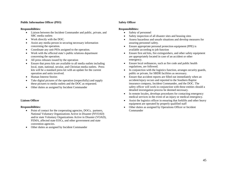#### **Public Information Officer (PIO)**

#### **Responsibilities:**

- Liaison between the Incident Commander and public, private, and SBC media outlets
- Work directly with the DOC.
- Assist any media person in securing necessary information concerning the operation.
- Coordinate any unit PIOs assigned to the operation.
- Work with the affected state's public relations department concerning the operation.
- All press releases issued by the operation
- Ensure that press kits are available to all media outlets including local, state, national, secular, and Christian media outlets. Press kits will be a standard press kit with an update for the current operation and units involved.
- Human Interest Stories
- Take digital pictures of the operation (respectfully) and supply these pictures to media outlets and the DOC as requested.
- Other duties as assigned by Incident Commander

#### **Liaison Officer**

#### **Responsibilities:**

- Point of contact for the cooperating agencies, DOCs, partners, National Voluntary Organizations Active in Disaster (NVOAD) and/or state Voluntary Organizations Active in Disaster (VOAD), FEMA, affected state EOCs, and other government and state convention agencies.
- Other duties as assigned by Incident Commander

#### **Safety Officer**

- Safety of personnel
- Safety inspection of all disaster sites and housing sites
- Assess hazardous and unsafe situations and develop measures for assuring personnel safety.
- Ensure appropriate personal protection equipment (PPE) is available according to job function
- Ensure first aid kits, fire extinguishers, and other safety equipment are appropriately located in case of an accident or other emergency.
- Ensure local ordinances, such as fire code and public health regulations, are followed.
- In conjunction with the logistics function, arranges security guards, public or private, for SBDR facilities as necessary.
- Ensure that accident reports are filled out immediately when an accident/injury occurs and reported to the Southern Baptist insurance company, Incident Commander, and the DOC. The safety officer will work in conjunction with these entities should a detailed investigation process be deemed necessary.
- In remote locales, develops procedures for contacting emergency medical services in the event of an injury or medical emergency.
- Assist the logistics officer in ensuring that forklifts and other heavy equipment are operated by properly qualified staff
- Other duties as assigned by Operations Officer or Incident Commander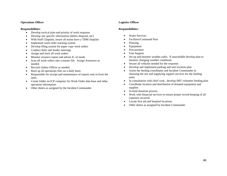#### **Operations Officer**

#### **Responsibilities:**

- Develop tactical plan and priority of work response
- Develop site specific information (debris disposal, etc)
- With Staff Chaplain, insure all teams have a TBM chaplain
- Implement work order tracking system
- Develop filing system for paper copy work orders
- Conduct daily unit leader meetings
- Assign and track all work orders
- Monitor resource report and advise IC of needs
- Scan all work orders into a master file. Assign Assessors as needed
- Recruits Safety Officer as needed
- Back up all operations files on a daily basis
- Responsible for receipt and maintenance of reports sent in from the units.
- Create folder on ICP computer for Work Order data base and other operation information.
- Other duties as assigned by the Incident Commander

#### **Logistics Officer**

- Water Services
- Facilities/Command Post
- Housing
- Equipment
- Procurement
- Unit Support
- Set up and monitor weather radio. If unavailable develop plan to monitor changing weather conditions
- Secure all vehicles needed for the response.
- Develop and implement parking and unit location plan
- Assist the feeding coordinator and Incident Commander in choosing the site and supplying support services for the feeding units.
- In consultation with chief cook, develop IMT volunteer feeding plan
- Coordinate location and distribution of donated equipment and supplies
- In-kind donation process
- Work with financial services to ensure proper record keeping of all expenses incurred
- Locate first aid and hospital locations
- Other duties as assigned by Incident Commander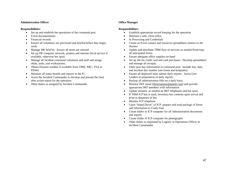#### **Administration Officer**

#### **Responsibilities:**

- Set up and establish the operations of the command post.
- Event documentation
- Financial records
- Ensure all volunteers are processed and briefed before they begin work.
- Manage DR field kit. Ensure all items are retuned.
- Set up DR computer network, printers and internet (local service if available, otherwise hot spot)
- Manage all incident command volunteers and staff and assign shifts, tasks, and workstations.
- Obtain Disaster number if available from TBM, ARC, TSA or FEMA
- Maintain all status boards and reports in the IC.
- Assist the Incident Commander to develop and present the final after action report for the operation.
- Other duties as assigned by Incident Commander

#### **Office Manager**

- Establish appropriate record keeping for the operation.
- Maintain a safe, clean office
- In Processing and Credentials
- Create an Excel contact and resources spreadsheet relative to the disaster
- Update and distribute TBM flyer of services as needed Print/copy all anticipated forms
- Ensure adequate office supplies on hand
- Set up file for credit card and cash purchases. Develop spreadsheet and manage all receipts.
- Daily post day information in command post. Include day, date, and incident day number (see forms and templates)
- Ensure all deployed units submit daily reports. Assist Unit Leaders in preparation of daily reports.
- Backup all administration files on a daily basis.
- Monitor IMT email [\(tbmresponse@gmail.com\)](mailto:tbmresponse@gmail.com) and provide appropriate IMT members with information
- Update minutes, as needed on IMT telephones and hot spots
- If TBM ICP bus is used, inventory bus contents upon arrival and prior to departure of bus
- Monitor ICP telephone
- Upon "Stand Down" of ICP, prepare and send package of forms and information to Cindy Finn
- Create folder in ICP computer for all Administration documents and reports
- Create folder of ICP computer for photographs
- Other duties as requested by Logistic or Operations Officer or Incident Commander